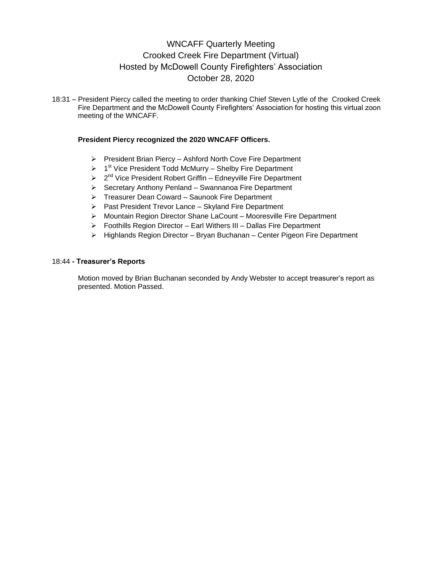# WNCAFF Quarterly Meeting Crooked Creek Fire Department (Virtual) Hosted by McDowell County Firefighters' Association October 28, 2020

18:31 – President Piercy called the meeting to order thanking Chief Steven Lytle of the Crooked Creek Fire Department and the McDowell County Firefighters' Association for hosting this virtual zoon meeting of the WNCAFF.

### **President Piercy recognized the 2020 WNCAFF Officers.**

- $\triangleright$  President Brian Piercy Ashford North Cove Fire Department
- $\geq 1<sup>st</sup>$  Vice President Todd McMurry Shelby Fire Department
- > 2<sup>nd</sup> Vice President Robert Griffin Edneyville Fire Department
- $\triangleright$  Secretary Anthony Penland Swannanoa Fire Department
- Treasurer Dean Coward Saunook Fire Department
- $\triangleright$  Past President Trevor Lance Skyland Fire Department
- Mountain Region Director Shane LaCount Mooresville Fire Department
- Foothills Region Director Earl Withers III Dallas Fire Department
- $\triangleright$  Highlands Region Director Bryan Buchanan Center Pigeon Fire Department

### 18:44 **- Treasurer's Reports**

Motion moved by Brian Buchanan seconded by Andy Webster to accept treasurer's report as presented. Motion Passed.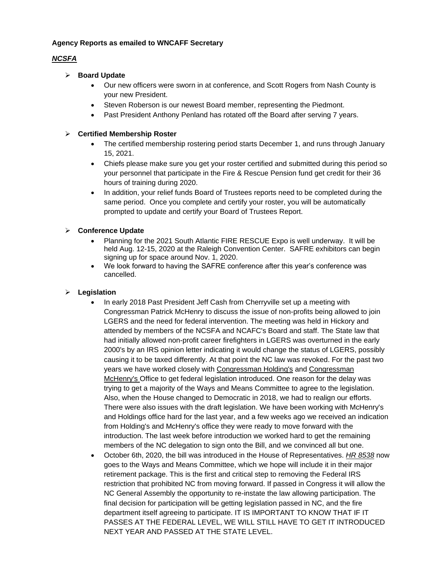### **Agency Reports as emailed to WNCAFF Secretary**

# *NCSFA*

# **Board Update**

- Our new officers were sworn in at conference, and Scott Rogers from Nash County is your new President.
- Steven Roberson is our newest Board member, representing the Piedmont.
- Past President Anthony Penland has rotated off the Board after serving 7 years.

# **Certified Membership Roster**

- The certified membership rostering period starts December 1, and runs through January 15, 2021.
- Chiefs please make sure you get your roster certified and submitted during this period so your personnel that participate in the Fire & Rescue Pension fund get credit for their 36 hours of training during 2020.
- In addition, your relief funds Board of Trustees reports need to be completed during the same period. Once you complete and certify your roster, you will be automatically prompted to update and certify your Board of Trustees Report.

# **Conference Update**

- Planning for the 2021 South Atlantic FIRE RESCUE Expo is well underway. It will be held Aug. 12-15, 2020 at the Raleigh Convention Center. SAFRE exhibitors can begin signing up for space around Nov. 1, 2020.
- We look forward to having the SAFRE conference after this year's conference was cancelled.

# **Legislation**

- In early 2018 Past President Jeff Cash from Cherryville set up a meeting with Congressman Patrick McHenry to discuss the issue of non-profits being allowed to join LGERS and the need for federal intervention. The meeting was held in Hickory and attended by members of the NCSFA and NCAFC's Board and staff. The State law that had initially allowed non-profit career firefighters in LGERS was overturned in the early 2000's by an IRS opinion letter indicating it would change the status of LGERS, possibly causing it to be taxed differently. At that point the NC law was revoked. For the past two years we have worked closely with Congressman Holding's and Congressman McHenry's Office to get federal legislation introduced. One reason for the delay was trying to get a majority of the Ways and Means Committee to agree to the legislation. Also, when the House changed to Democratic in 2018, we had to realign our efforts. There were also issues with the draft legislation. We have been working with McHenry's and Holdings office hard for the last year, and a few weeks ago we received an indication from Holding's and McHenry's office they were ready to move forward with the introduction. The last week before introduction we worked hard to get the remaining members of the NC delegation to sign onto the Bill, and we convinced all but one.
- October 6th, 2020, the bill was introduced in the House of Representatives. *HR 8538* now goes to the Ways and Means Committee, which we hope will include it in their major retirement package. This is the first and critical step to removing the Federal IRS restriction that prohibited NC from moving forward. If passed in Congress it will allow the NC General Assembly the opportunity to re-instate the law allowing participation. The final decision for participation will be getting legislation passed in NC, and the fire department itself agreeing to participate. IT IS IMPORTANT TO KNOW THAT IF IT PASSES AT THE FEDERAL LEVEL, WE WILL STILL HAVE TO GET IT INTRODUCED NEXT YEAR AND PASSED AT THE STATE LEVEL.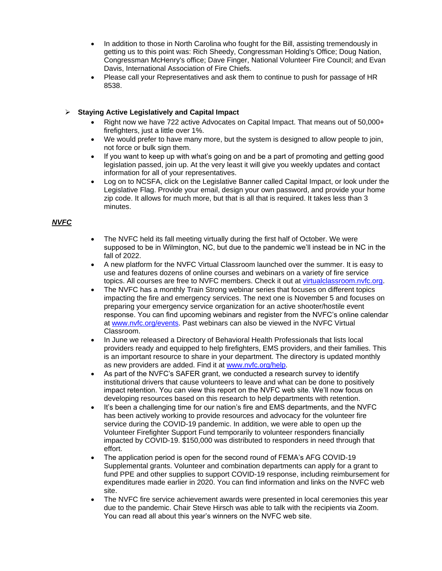- In addition to those in North Carolina who fought for the Bill, assisting tremendously in getting us to this point was: Rich Sheedy, Congressman Holding's Office; Doug Nation, Congressman McHenry's office; Dave Finger, National Volunteer Fire Council; and Evan Davis, International Association of Fire Chiefs.
- Please call your Representatives and ask them to continue to push for passage of HR 8538.

# **Staying Active Legislatively and Capital Impact**

- Right now we have 722 active Advocates on Capital Impact. That means out of 50,000+ firefighters, just a little over 1%.
- We would prefer to have many more, but the system is designed to allow people to join, not force or bulk sign them.
- If you want to keep up with what's going on and be a part of promoting and getting good legislation passed, join up. At the very least it will give you weekly updates and contact information for all of your representatives.
- Log on to NCSFA, click on the Legislative Banner called Capital Impact, or look under the Legislative Flag. Provide your email, design your own password, and provide your home zip code. It allows for much more, but that is all that is required. It takes less than 3 minutes.

# *NVFC*

- The NVFC held its fall meeting virtually during the first half of October. We were supposed to be in Wilmington, NC, but due to the pandemic we'll instead be in NC in the fall of 2022.
- A new platform for the NVFC Virtual Classroom launched over the summer. It is easy to use and features dozens of online courses and webinars on a variety of fire service topics. All courses are free to NVFC members. Check it out at [virtualclassroom.nvfc.org.](https://virtualclassroom.nvfc.org/)
- The NVFC has a monthly Train Strong webinar series that focuses on different topics impacting the fire and emergency services. The next one is November 5 and focuses on preparing your emergency service organization for an active shooter/hostile event response. You can find upcoming webinars and register from the NVFC's online calendar at [www.nvfc.org/events.](http://www.nvfc.org/events) Past webinars can also be viewed in the NVFC Virtual Classroom.
- In June we released a Directory of Behavioral Health Professionals that lists local providers ready and equipped to help firefighters, EMS providers, and their families. This is an important resource to share in your department. The directory is updated monthly as new providers are added. Find it at [www.nvfc.org/help.](http://www.nvfc.org/help)
- As part of the NVFC's SAFER grant, we conducted a research survey to identify institutional drivers that cause volunteers to leave and what can be done to positively impact retention. You can view this report on the NVFC web site. We'll now focus on developing resources based on this research to help departments with retention.
- It's been a challenging time for our nation's fire and EMS departments, and the NVFC has been actively working to provide resources and advocacy for the volunteer fire service during the COVID-19 pandemic. In addition, we were able to open up the Volunteer Firefighter Support Fund temporarily to volunteer responders financially impacted by COVID-19. \$150,000 was distributed to responders in need through that effort.
- The application period is open for the second round of FEMA's AFG COVID-19 Supplemental grants. Volunteer and combination departments can apply for a grant to fund PPE and other supplies to support COVID-19 response, including reimbursement for expenditures made earlier in 2020. You can find information and links on the NVFC web site.
- The NVFC fire service achievement awards were presented in local ceremonies this year due to the pandemic. Chair Steve Hirsch was able to talk with the recipients via Zoom. You can read all about this year's winners on the NVFC web site.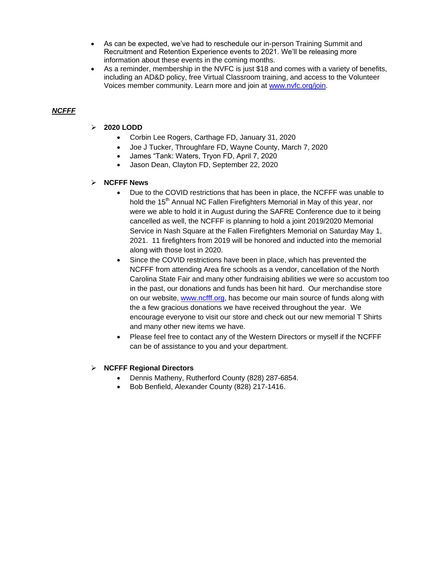- As can be expected, we've had to reschedule our in-person Training Summit and Recruitment and Retention Experience events to 2021. We'll be releasing more information about these events in the coming months.
- As a reminder, membership in the NVFC is just \$18 and comes with a variety of benefits, including an AD&D policy, free Virtual Classroom training, and access to the Volunteer Voices member community. Learn more and join at [www.nvfc.org/join.](http://www.nvfc.org/join)

# *NCFFF*

- **2020 LODD**
	- Corbin Lee Rogers, Carthage FD, January 31, 2020
	- Joe J Tucker, Throughfare FD, Wayne County, March 7, 2020
	- James "Tank: Waters, Tryon FD, April 7, 2020
	- Jason Dean, Clayton FD, September 22, 2020

# **NCFFF News**

- Due to the COVID restrictions that has been in place, the NCFFF was unable to hold the 15<sup>th</sup> Annual NC Fallen Firefighters Memorial in May of this year, nor were we able to hold it in August during the SAFRE Conference due to it being cancelled as well, the NCFFF is planning to hold a joint 2019/2020 Memorial Service in Nash Square at the Fallen Firefighters Memorial on Saturday May 1, 2021. 11 firefighters from 2019 will be honored and inducted into the memorial along with those lost in 2020.
- Since the COVID restrictions have been in place, which has prevented the NCFFF from attending Area fire schools as a vendor, cancellation of the North Carolina State Fair and many other fundraising abilities we were so accustom too in the past, our donations and funds has been hit hard. Our merchandise store on our website, [www.ncfff.org,](http://www.ncfff.org/) has become our main source of funds along with the a few gracious donations we have received throughout the year. We encourage everyone to visit our store and check out our new memorial T Shirts and many other new items we have.
- Please feel free to contact any of the Western Directors or myself if the NCFFF can be of assistance to you and your department.

# **NCFFF Regional Directors**

- Dennis Matheny, Rutherford County (828) 287-6854.
- Bob Benfield, Alexander County (828) 217-1416.